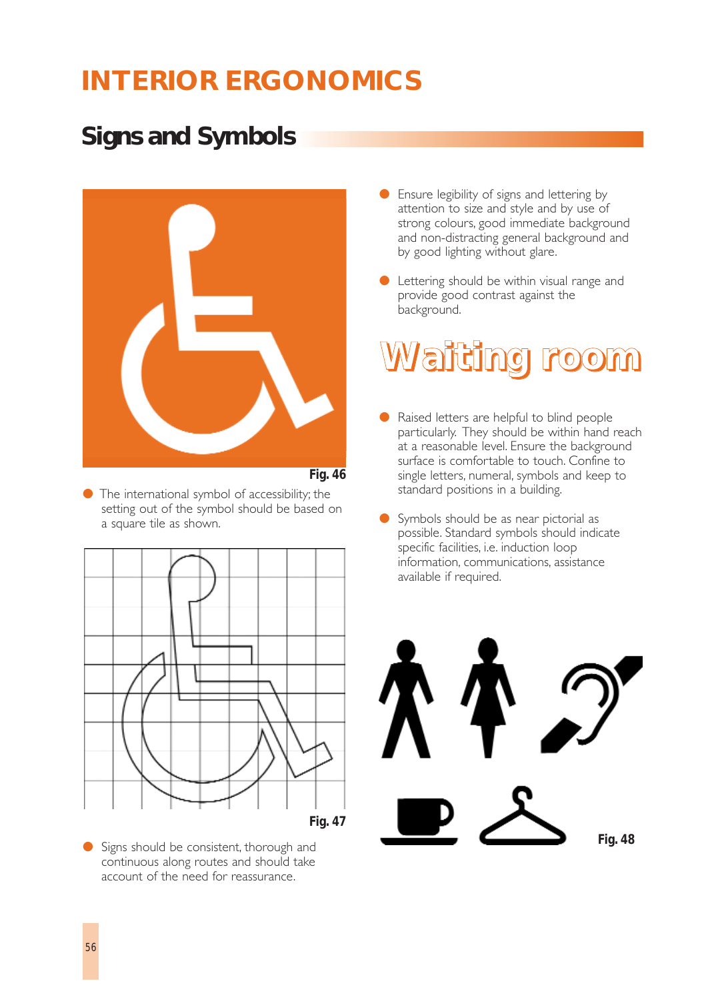## **Signs and Symbols**



- *Fig. 46*
- $\bullet$  The international symbol of accessibility; the setting out of the symbol should be based on a square tile as shown.



● Signs should be consistent, thorough and continuous along routes and should take account of the need for reassurance.

- Ensure legibility of signs and lettering by attention to size and style and by use of strong colours, good immediate background and non-distracting general background and by good lighting without glare.
- Lettering should be within visual range and provide good contrast against the background.

# **Waiting room**

- Raised letters are helpful to blind people particularly. They should be within hand reach at a reasonable level. Ensure the background surface is comfortable to touch. Confine to single letters, numeral, symbols and keep to standard positions in a building.
- Symbols should be as near pictorial as possible. Standard symbols should indicate specific facilities, i.e. induction loop information, communications, assistance available if required.

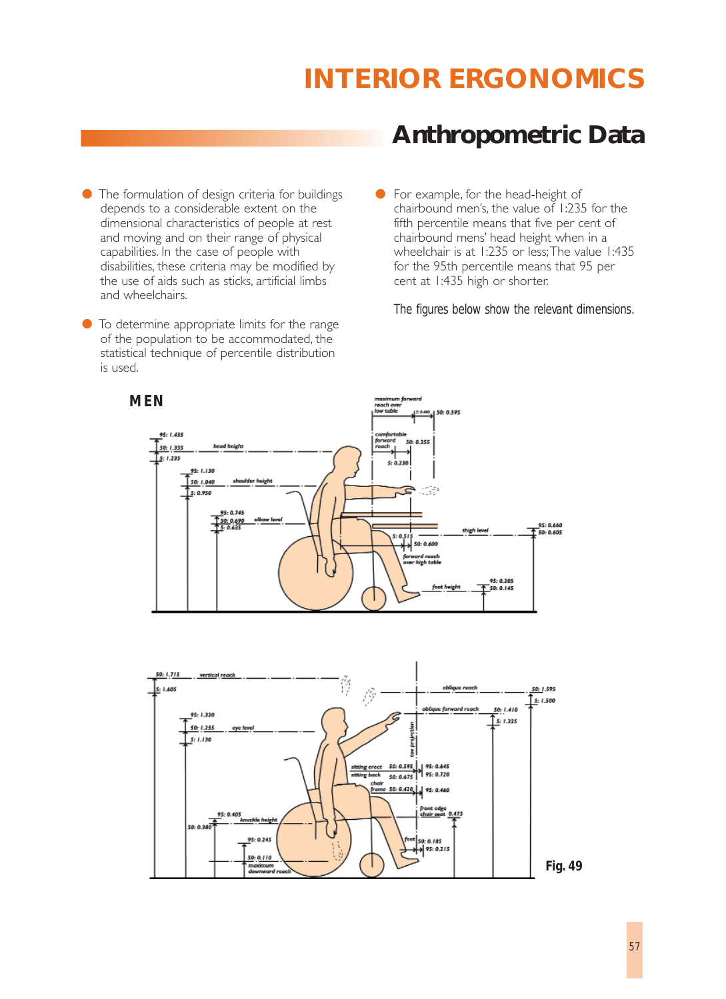- The formulation of design criteria for buildings depends to a considerable extent on the dimensional characteristics of people at rest and moving and on their range of physical capabilities. In the case of people with disabilities, these criteria may be modified by the use of aids such as sticks, artificial limbs and wheelchairs.
- To determine appropriate limits for the range of the population to be accommodated, the statistical technique of percentile distribution is used.

## **Anthropometric Data**

● For example, for the head-height of chairbound men's, the value of 1:235 for the fifth percentile means that five per cent of chairbound mens' head height when in a wheelchair is at 1:235 or less; The value 1:435 for the 95th percentile means that 95 per cent at 1:435 high or shorter.

*The figures below show the relevant dimensions.*



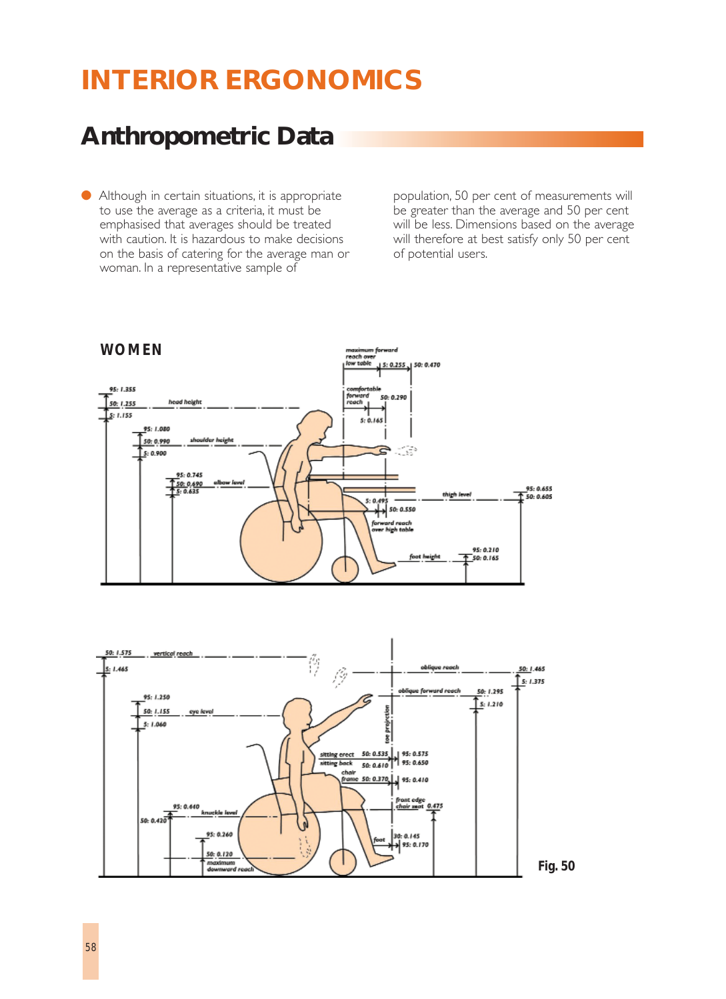## **Anthropometric Data**

● Although in certain situations, it is appropriate to use the average as a criteria, it must be emphasised that averages should be treated with caution. It is hazardous to make decisions on the basis of catering for the average man or woman. In a representative sample of

population, 50 per cent of measurements will be greater than the average and 50 per cent will be less. Dimensions based on the average will therefore at best satisfy only 50 per cent of potential users.





*Fig. 50*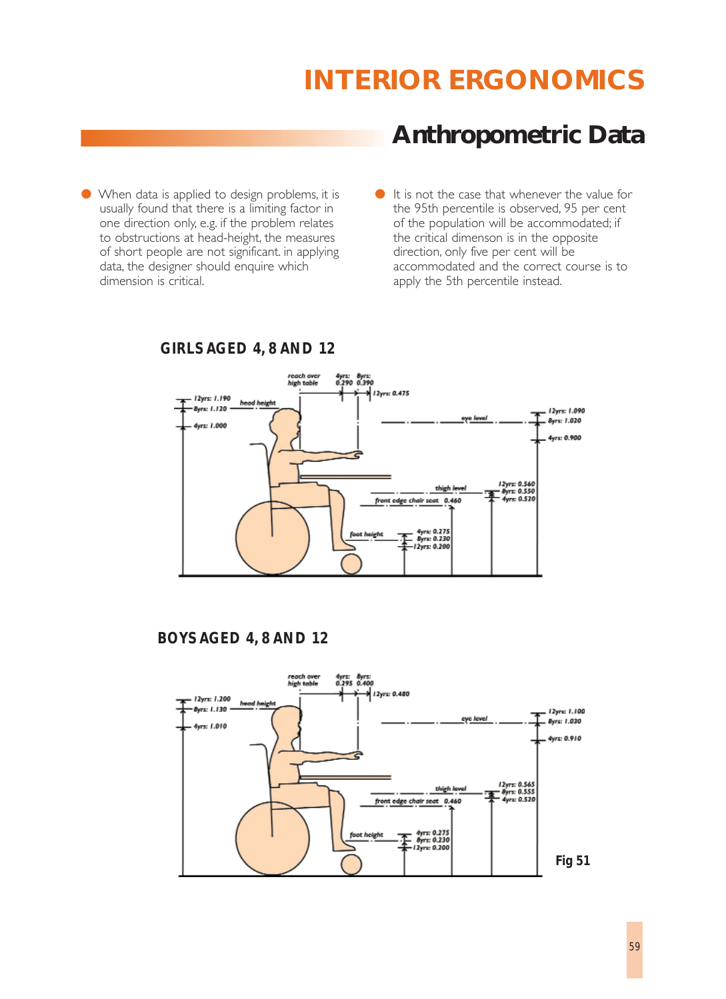## **Anthropometric Data**

● When data is applied to design problems, it is usually found that there is a limiting factor in one direction only, e.g. if the problem relates to obstructions at head-height, the measures of short people are not significant. in applying data, the designer should enquire which dimension is critical.

● It is not the case that whenever the value for the 95th percentile is observed, 95 per cent of the population will be accommodated; if the critical dimenson is in the opposite direction, only five per cent will be accommodated and the correct course is to apply the 5th percentile instead.



*GIRLS AGED 4, 8 AND 12*

## *BOYS AGED 4, 8 AND 12*

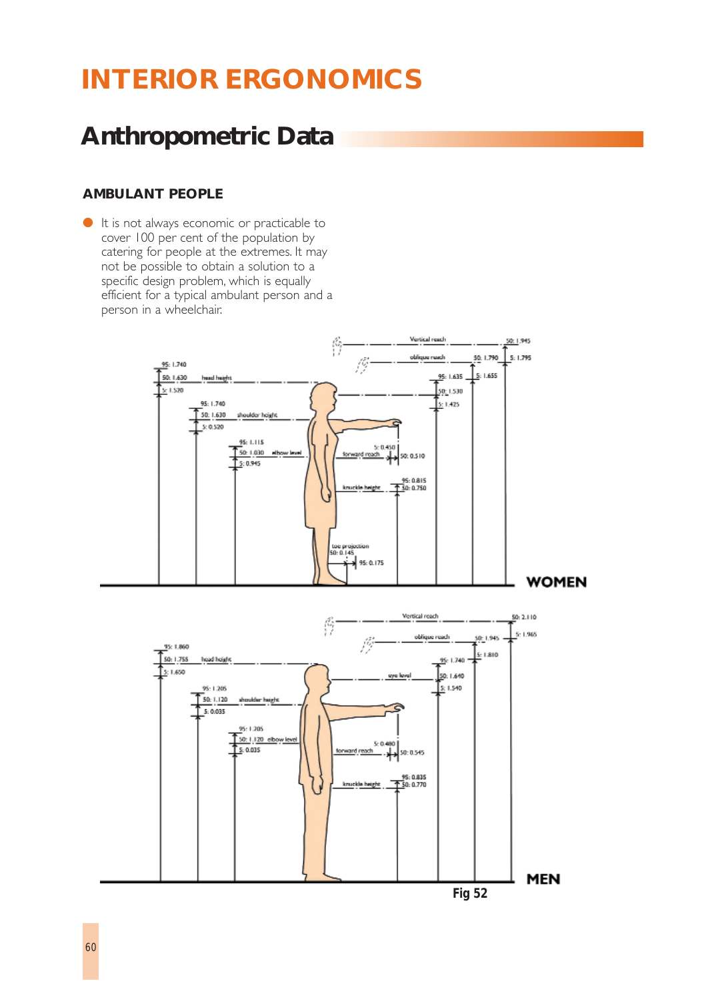## **Anthropometric Data**

## **AMBULANT PEOPLE**

● It is not always economic or practicable to cover 100 per cent of the population by catering for people at the extremes. It may not be possible to obtain a solution to a specific design problem, which is equally efficient for a typical ambulant person and a person in a wheelchair.



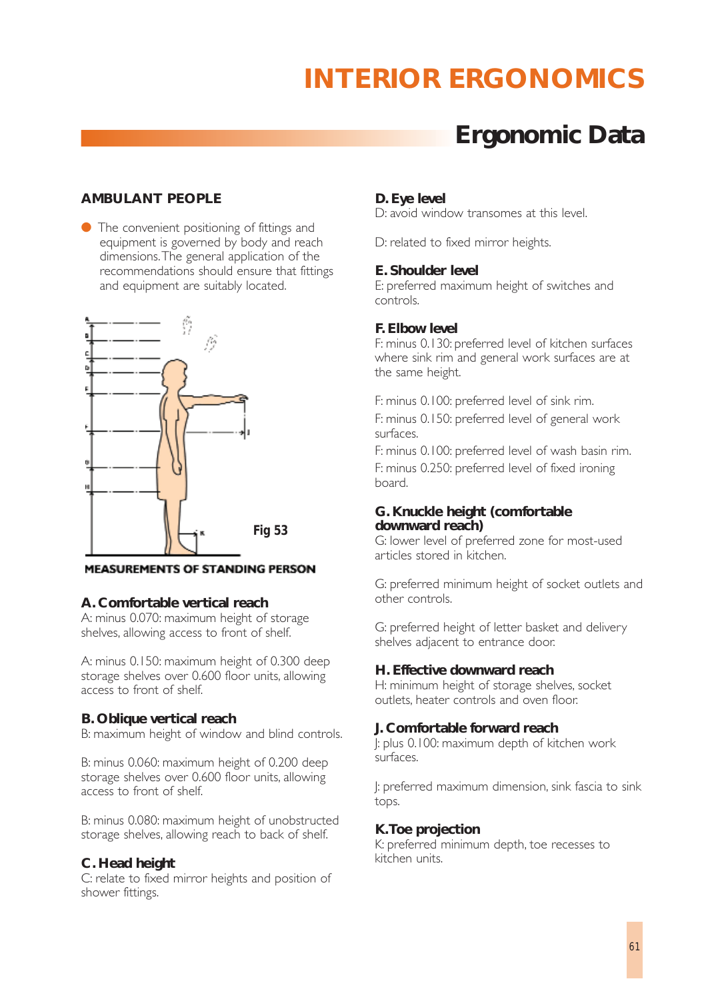## **Ergonomic Data**

## **AMBULANT PEOPLE**

● The convenient positioning of fittings and equipment is governed by body and reach dimensions.The general application of the recommendations should ensure that fittings and equipment are suitably located.



**MEASUREMENTS OF STANDING PERSON** 

## **A. Comfortable vertical reach**

A: minus 0.070: maximum height of storage shelves, allowing access to front of shelf.

A: minus 0.150: maximum height of 0.300 deep storage shelves over 0.600 floor units, allowing access to front of shelf.

## **B. Oblique vertical reach**

B: maximum height of window and blind controls.

B: minus 0.060: maximum height of 0.200 deep storage shelves over 0.600 floor units, allowing access to front of shelf.

B: minus 0.080: maximum height of unobstructed storage shelves, allowing reach to back of shelf.

## **C. Head height**

C: relate to fixed mirror heights and position of shower fittings.

## **D. Eye level**

D: avoid window transomes at this level.

D: related to fixed mirror heights.

## **E. Shoulder level**

E: preferred maximum height of switches and controls.

## **F. Elbow level**

F: minus 0.130: preferred level of kitchen surfaces where sink rim and general work surfaces are at the same height.

F: minus 0.100: preferred level of sink rim.

F: minus 0.150: preferred level of general work surfaces.

F: minus 0.100: preferred level of wash basin rim. F: minus 0.250: preferred level of fixed ironing board.

## **G. Knuckle height (comfortable downward reach)**

G: lower level of preferred zone for most-used articles stored in kitchen.

G: preferred minimum height of socket outlets and other controls.

G: preferred height of letter basket and delivery shelves adjacent to entrance door.

## **H. Effective downward reach**

H: minimum height of storage shelves, socket outlets, heater controls and oven floor.

## **J. Comfortable forward reach**

J: plus 0.100: maximum depth of kitchen work surfaces.

J: preferred maximum dimension, sink fascia to sink tops.

## **K.Toe projection**

K: preferred minimum depth, toe recesses to kitchen units.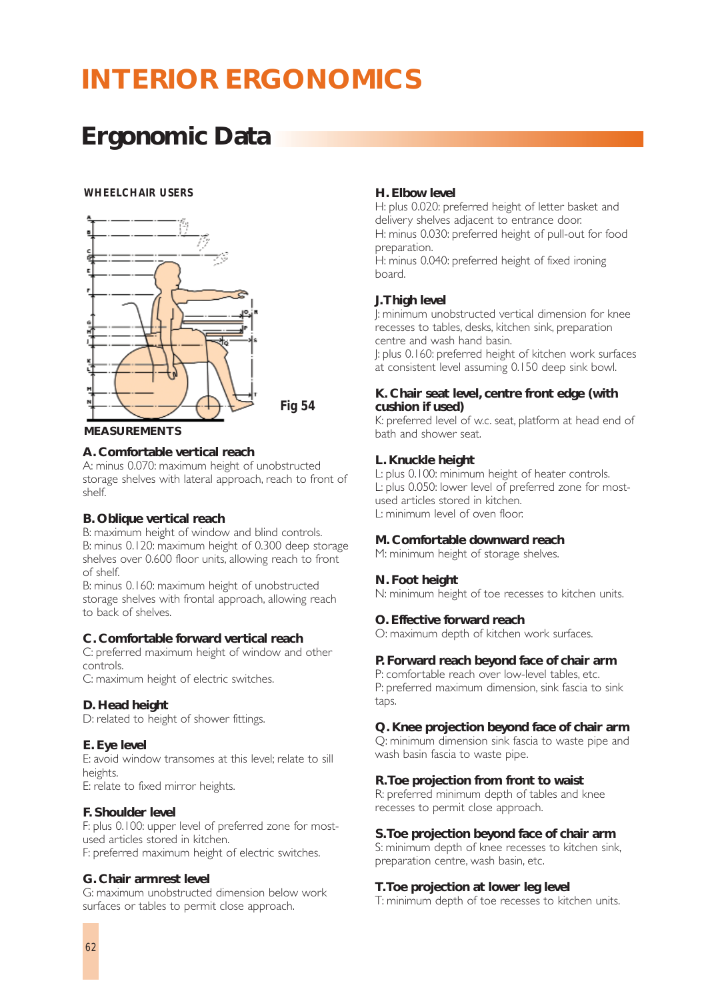## **Ergonomic Data**

### *WHEELCHAIR USERS*



*Fig 54*

#### **MEASUREMENTS**

## **A. Comfortable vertical reach**

A: minus 0.070: maximum height of unobstructed storage shelves with lateral approach, reach to front of shelf.

## **B. Oblique vertical reach**

B: maximum height of window and blind controls. B: minus 0.120: maximum height of 0.300 deep storage shelves over 0.600 floor units, allowing reach to front of shelf.

B: minus 0.160: maximum height of unobstructed storage shelves with frontal approach, allowing reach to back of shelves.

## **C. Comfortable forward vertical reach**

C: preferred maximum height of window and other controls.

C: maximum height of electric switches.

### **D. Head height**

D: related to height of shower fittings.

## **E. Eye level**

E: avoid window transomes at this level; relate to sill heights.

E: relate to fixed mirror heights.

## **F. Shoulder level**

F: plus 0.100: upper level of preferred zone for mostused articles stored in kitchen. F: preferred maximum height of electric switches.

#### **G. Chair armrest level**

G: maximum unobstructed dimension below work surfaces or tables to permit close approach.

### **H. Elbow level**

H: plus 0.020: preferred height of letter basket and delivery shelves adjacent to entrance door. H: minus 0.030: preferred height of pull-out for food preparation.

H: minus 0.040: preferred height of fixed ironing board.

## **J.Thigh level**

J: minimum unobstructed vertical dimension for knee recesses to tables, desks, kitchen sink, preparation centre and wash hand basin. J: plus 0.160: preferred height of kitchen work surfaces at consistent level assuming 0.150 deep sink bowl.

### **K. Chair seat level, centre front edge (with cushion if used)**

K: preferred level of w.c. seat, platform at head end of bath and shower seat.

## **L. Knuckle height**

L: plus 0.100: minimum height of heater controls. L: plus 0.050: lower level of preferred zone for mostused articles stored in kitchen. L: minimum level of oven floor.

#### **M. Comfortable downward reach**

M: minimum height of storage shelves.

## **N. Foot height**

N: minimum height of toe recesses to kitchen units.

#### **O. Effective forward reach**

O: maximum depth of kitchen work surfaces.

## **P. Forward reach beyond face of chair arm**

P: comfortable reach over low-level tables, etc. P: preferred maximum dimension, sink fascia to sink taps.

#### **Q. Knee projection beyond face of chair arm**

Q: minimum dimension sink fascia to waste pipe and wash basin fascia to waste pipe.

## **R.Toe projection from front to waist**

R: preferred minimum depth of tables and knee recesses to permit close approach.

#### **S.Toe projection beyond face of chair arm**

S: minimum depth of knee recesses to kitchen sink, preparation centre, wash basin, etc.

## **T.Toe projection at lower leg level**

T: minimum depth of toe recesses to kitchen units.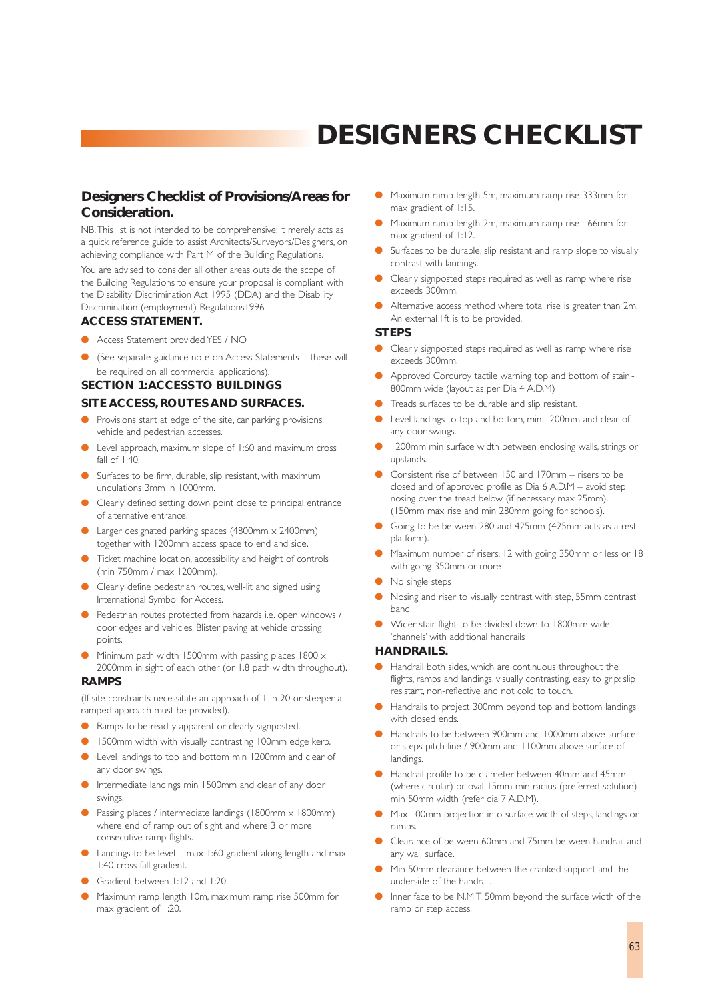# **DESIGNERS CHECKLIST**

## **Designers Checklist of Provisions/Areas for Consideration.**

NB.This list is not intended to be comprehensive; it merely acts as a quick reference guide to assist Architects/Surveyors/Designers, on achieving compliance with Part M of the Building Regulations. You are advised to consider all other areas outside the scope of the Building Regulations to ensure your proposal is compliant with the Disability Discrimination Act 1995 (DDA) and the Disability Discrimination (employment) Regulations1996

### **ACCESS STATEMENT.**

- Access Statement provided YES / NO
- (See separate guidance note on Access Statements these will be required on all commercial applications).

## **SECTION 1:ACCESS TO BUILDINGS**

#### **SITE ACCESS, ROUTES AND SURFACES.**

- Provisions start at edge of the site, car parking provisions, vehicle and pedestrian accesses.
- Level approach, maximum slope of 1:60 and maximum cross fall of 1:40.
- Surfaces to be firm, durable, slip resistant, with maximum undulations 3mm in 1000mm.
- Clearly defined setting down point close to principal entrance of alternative entrance.
- Larger designated parking spaces (4800mm  $\times$  2400mm) together with 1200mm access space to end and side.
- Ticket machine location, accessibility and height of controls (min 750mm / max 1200mm).
- Clearly define pedestrian routes, well-lit and signed using International Symbol for Access.
- Pedestrian routes protected from hazards i.e. open windows / door edges and vehicles, Blister paving at vehicle crossing points.
- Minimum path width 1500mm with passing places 1800  $\times$ 2000mm in sight of each other (or 1.8 path width throughout).

#### **RAMPS**

(If site constraints necessitate an approach of 1 in 20 or steeper a ramped approach must be provided).

- Ramps to be readily apparent or clearly signposted.
- 1500mm width with visually contrasting 100mm edge kerb.
- Level landings to top and bottom min 1200mm and clear of any door swings.
- Intermediate landings min 1500mm and clear of any door swings.
- Passing places / intermediate landings (1800mm x 1800mm) where end of ramp out of sight and where 3 or more consecutive ramp flights.
- $\bullet$  Landings to be level max 1:60 gradient along length and max 1:40 cross fall gradient.
- Gradient between 1:12 and 1:20.
- Maximum ramp length 10m, maximum ramp rise 500mm for max gradient of 1:20.
- Maximum ramp length 5m, maximum ramp rise 333mm for max gradient of 1:15.
- Maximum ramp length 2m, maximum ramp rise 166mm for max gradient of 1:12.
- Surfaces to be durable, slip resistant and ramp slope to visually contrast with landings.
- Clearly signposted steps required as well as ramp where rise exceeds 300mm.
- Alternative access method where total rise is greater than 2m. An external lift is to be provided.

#### **STEPS**

- Clearly signposted steps required as well as ramp where rise exceeds 300mm.
- Approved Corduroy tactile warning top and bottom of stair -800mm wide (layout as per Dia 4 A.D.M)
- Treads surfaces to be durable and slip resistant.
- Level landings to top and bottom, min 1200mm and clear of any door swings.
- 1200mm min surface width between enclosing walls, strings or upstands.
- Consistent rise of between 150 and 170mm risers to be closed and of approved profile as Dia 6 A.D.M – avoid step nosing over the tread below (if necessary max 25mm). (150mm max rise and min 280mm going for schools).
- Going to be between 280 and 425mm (425mm acts as a rest platform).
- Maximum number of risers, 12 with going 350mm or less or 18 with going 350mm or more
- No single steps
- Nosing and riser to visually contrast with step, 55mm contrast band
- Wider stair flight to be divided down to 1800mm wide 'channels' with additional handrails

#### **HANDRAILS.**

- Handrail both sides, which are continuous throughout the flights, ramps and landings, visually contrasting, easy to grip: slip resistant, non-reflective and not cold to touch.
- Handrails to project 300mm beyond top and bottom landings with closed ends
- Handrails to be between 900mm and 1000mm above surface or steps pitch line / 900mm and 1100mm above surface of landings.
- Handrail profile to be diameter between 40mm and 45mm (where circular) or oval 15mm min radius (preferred solution) min 50mm width (refer dia 7 A.D.M).
- Max 100mm projection into surface width of steps, landings or ramps.
- Clearance of between 60mm and 75mm between handrail and any wall surface.
- Min 50mm clearance between the cranked support and the underside of the handrail.
- Inner face to be N.M.T 50mm beyond the surface width of the ramp or step access.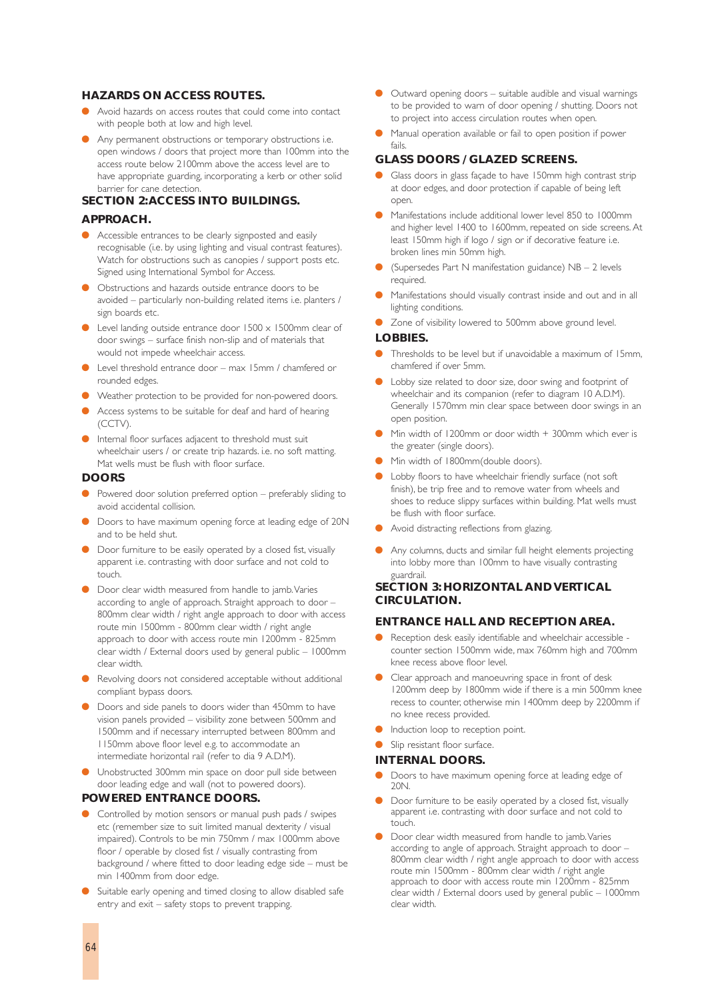#### **HAZARDS ON ACCESS ROUTES.**

- Avoid hazards on access routes that could come into contact with people both at low and high level.
- Any permanent obstructions or temporary obstructions i.e. open windows / doors that project more than 100mm into the access route below 2100mm above the access level are to have appropriate guarding, incorporating a kerb or other solid barrier for cane detection.

#### **SECTION 2:ACCESS INTO BUILDINGS.**

#### **APPROACH.**

- Accessible entrances to be clearly signposted and easily recognisable (i.e. by using lighting and visual contrast features). Watch for obstructions such as canopies / support posts etc. Signed using International Symbol for Access.
- Obstructions and hazards outside entrance doors to be avoided – particularly non-building related items i.e. planters / sign boards etc.
- Level landing outside entrance door  $1500 \times 1500$ mm clear of door swings – surface finish non-slip and of materials that would not impede wheelchair access.
- Level threshold entrance door max 15mm / chamfered or rounded edges.
- Weather protection to be provided for non-powered doors.
- Access systems to be suitable for deaf and hard of hearing (CCTV).
- Internal floor surfaces adjacent to threshold must suit wheelchair users / or create trip hazards. i.e. no soft matting. Mat wells must be flush with floor surface.

#### **DOORS**

- Powered door solution preferred option preferably sliding to avoid accidental collision.
- Doors to have maximum opening force at leading edge of 20N and to be held shut.
- Door furniture to be easily operated by a closed fist, visually apparent i.e. contrasting with door surface and not cold to touch.
- Door clear width measured from handle to jamb. Varies according to angle of approach. Straight approach to door – 800mm clear width / right angle approach to door with access route min 1500mm - 800mm clear width / right angle approach to door with access route min 1200mm - 825mm clear width / External doors used by general public – 1000mm clear width.
- **Revolving doors not considered acceptable without additional** compliant bypass doors.
- Doors and side panels to doors wider than 450mm to have vision panels provided – visibility zone between 500mm and 1500mm and if necessary interrupted between 800mm and 1150mm above floor level e.g. to accommodate an intermediate horizontal rail (refer to dia 9 A.D.M).
- Unobstructed 300mm min space on door pull side between door leading edge and wall (not to powered doors).

#### **POWERED ENTRANCE DOORS.**

- Controlled by motion sensors or manual push pads / swipes etc (remember size to suit limited manual dexterity / visual impaired). Controls to be min 750mm / max 1000mm above floor / operable by closed fist / visually contrasting from background / where fitted to door leading edge side – must be min 1400mm from door edge.
- Suitable early opening and timed closing to allow disabled safe entry and exit – safety stops to prevent trapping.
- Outward opening doors suitable audible and visual warnings to be provided to warn of door opening / shutting. Doors not to project into access circulation routes when open.
- Manual operation available or fail to open position if power fails.

#### **GLASS DOORS / GLAZED SCREENS.**

- Glass doors in glass façade to have 150mm high contrast strip at door edges, and door protection if capable of being left open.
- Manifestations include additional lower level 850 to 1000mm and higher level 1400 to 1600mm, repeated on side screens. At least 150mm high if logo / sign or if decorative feature i.e. broken lines min 50mm high.
- (Supersedes Part N manifestation guidance)  $NB 2$  levels required.
- Manifestations should visually contrast inside and out and in all lighting conditions.
- Zone of visibility lowered to 500mm above ground level.

#### **LOBBIES.**

- Thresholds to be level but if unavoidable a maximum of 15mm, chamfered if over 5mm.
- Lobby size related to door size, door swing and footprint of wheelchair and its companion (refer to diagram 10 A.D.M). Generally 1570mm min clear space between door swings in an open position.
- Min width of 1200mm or door width  $+$  300mm which ever is the greater (single doors).
- Min width of 1800mm(double doors).
- Lobby floors to have wheelchair friendly surface (not soft finish), be trip free and to remove water from wheels and shoes to reduce slippy surfaces within building. Mat wells must be flush with floor surface.
- Avoid distracting reflections from glazing.
- Any columns, ducts and similar full height elements projecting into lobby more than 100mm to have visually contrasting guardrail.

#### **SECTION 3: HORIZONTAL AND VERTICAL CIRCULATION.**

#### **ENTRANCE HALL AND RECEPTION AREA.**

- Reception desk easily identifiable and wheelchair accessible counter section 1500mm wide, max 760mm high and 700mm knee recess above floor level.
- Clear approach and manoeuvring space in front of desk 1200mm deep by 1800mm wide if there is a min 500mm knee recess to counter, otherwise min 1400mm deep by 2200mm if no knee recess provided.
- Induction loop to reception point.
- Slip resistant floor surface.

#### **INTERNAL DOORS.**

- Doors to have maximum opening force at leading edge of 20N.
- Door furniture to be easily operated by a closed fist, visually apparent i.e. contrasting with door surface and not cold to touch.
- Door clear width measured from handle to jamb. Varies according to angle of approach. Straight approach to door -800mm clear width / right angle approach to door with access route min 1500mm - 800mm clear width / right angle approach to door with access route min 1200mm - 825mm clear width / External doors used by general public – 1000mm clear width.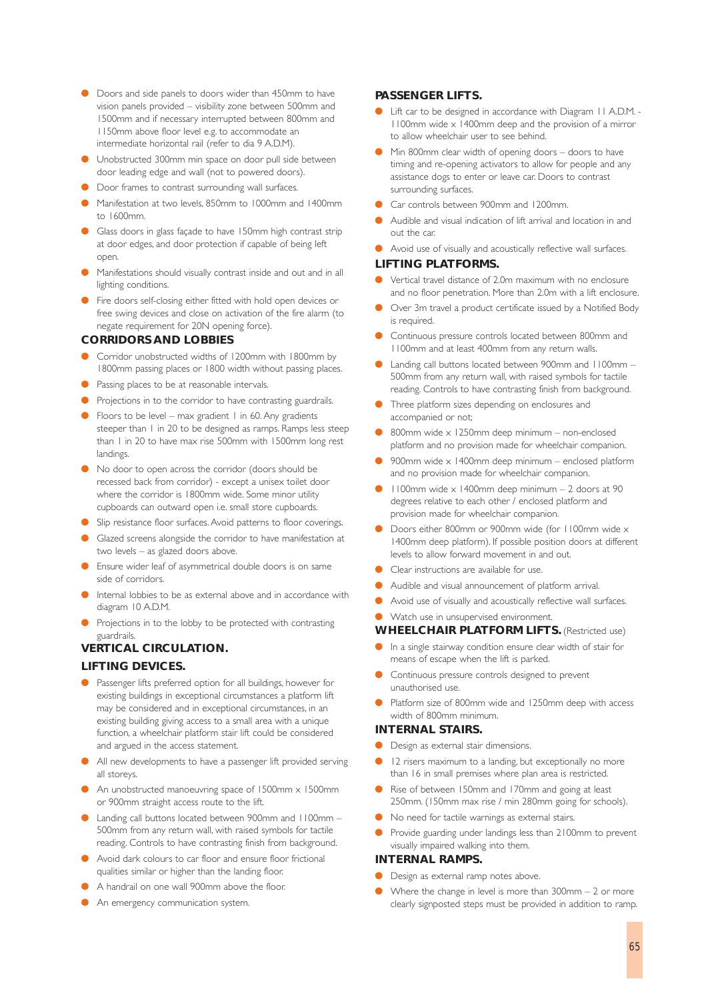- Doors and side panels to doors wider than 450mm to have vision panels provided – visibility zone between 500mm and 1500mm and if necessary interrupted between 800mm and 1150mm above floor level e.g. to accommodate an intermediate horizontal rail (refer to dia 9 A.D.M).
- Unobstructed 300mm min space on door pull side between door leading edge and wall (not to powered doors).
- Door frames to contrast surrounding wall surfaces.
- Manifestation at two levels, 850mm to 1000mm and 1400mm to 1600mm.
- Glass doors in glass façade to have 150mm high contrast strip at door edges, and door protection if capable of being left open.
- Manifestations should visually contrast inside and out and in all lighting conditions.
- Fire doors self-closing either fitted with hold open devices or free swing devices and close on activation of the fire alarm (to negate requirement for 20N opening force).

#### **CORRIDORS AND LOBBIES**

- Corridor unobstructed widths of 1200mm with 1800mm by 1800mm passing places or 1800 width without passing places.
- Passing places to be at reasonable intervals.
- Projections in to the corridor to have contrasting guardrails.
- Floors to be level max gradient 1 in 60. Any gradients steeper than 1 in 20 to be designed as ramps. Ramps less steep than 1 in 20 to have max rise 500mm with 1500mm long rest landings.
- No door to open across the corridor (doors should be recessed back from corridor) - except a unisex toilet door where the corridor is 1800mm wide. Some minor utility cupboards can outward open i.e. small store cupboards.
- Slip resistance floor surfaces. Avoid patterns to floor coverings.
- Glazed screens alongside the corridor to have manifestation at two levels – as glazed doors above.
- Ensure wider leaf of asymmetrical double doors is on same side of corridors.
- Internal lobbies to be as external above and in accordance with diagram 10 A.D.M.
- Projections in to the lobby to be protected with contrasting guardrails.

#### **VERTICAL CIRCULATION.**

#### **LIFTING DEVICES.**

- Passenger lifts preferred option for all buildings, however for existing buildings in exceptional circumstances a platform lift may be considered and in exceptional circumstances, in an existing building giving access to a small area with a unique function, a wheelchair platform stair lift could be considered and argued in the access statement.
- All new developments to have a passenger lift provided serving all storeys.
- An unobstructed manoeuvring space of  $1500$ mm x  $1500$ mm or 900mm straight access route to the lift.
- Landing call buttons located between 900mm and 1100mm -500mm from any return wall, with raised symbols for tactile reading. Controls to have contrasting finish from background.
- Avoid dark colours to car floor and ensure floor frictional qualities similar or higher than the landing floor.
- A handrail on one wall 900mm above the floor.
- An emergency communication system.

#### **PASSENGER LIFTS.**

- Lift car to be designed in accordance with Diagram 11 A.D.M. - $1100$ mm wide  $\times 1400$ mm deep and the provision of a mirror to allow wheelchair user to see behind.
- Min 800mm clear width of opening doors doors to have timing and re-opening activators to allow for people and any assistance dogs to enter or leave car. Doors to contrast surrounding surfaces.
- Car controls between 900mm and 1200mm.
- Audible and visual indication of lift arrival and location in and out the car.
- Avoid use of visually and acoustically reflective wall surfaces. **LIFTING PLATFORMS.**

#### Vertical travel distance of 2.0m maximum with no enclosure and no floor penetration. More than 2.0m with a lift enclosure.

- Over 3m travel a product certificate issued by a Notified Body is required.
- Continuous pressure controls located between 800mm and 1100mm and at least 400mm from any return walls.
- Landing call buttons located between 900mm and 1100mm 500mm from any return wall, with raised symbols for tactile reading. Controls to have contrasting finish from background.
- **•** Three platform sizes depending on enclosures and accompanied or not;
- $800$ mm wide x 1250mm deep minimum non-enclosed platform and no provision made for wheelchair companion.
- 900mm wide  $\times$  1400mm deep minimum enclosed platform and no provision made for wheelchair companion.
- $1100$ mm wide x 1400mm deep minimum 2 doors at 90 degrees relative to each other / enclosed platform and provision made for wheelchair companion.
- Doors either 800mm or 900mm wide (for 1100mm wide x 1400mm deep platform). If possible position doors at different levels to allow forward movement in and out.
- Clear instructions are available for use.
- Audible and visual announcement of platform arrival.
- Avoid use of visually and acoustically reflective wall surfaces.
- Watch use in unsupervised environment.

#### **WHEELCHAIR PLATFORM LIFTS.** (Restricted use)

- In a single stairway condition ensure clear width of stair for means of escape when the lift is parked.
- Continuous pressure controls designed to prevent unauthorised use.
- Platform size of 800mm wide and 1250mm deep with access width of 800mm minimum.

#### **INTERNAL STAIRS.**

- Design as external stair dimensions.
- 12 risers maximum to a landing, but exceptionally no more than 16 in small premises where plan area is restricted.
- Rise of between 150mm and 170mm and going at least 250mm. (150mm max rise / min 280mm going for schools).
- No need for tactile warnings as external stairs.
- Provide guarding under landings less than 2100mm to prevent visually impaired walking into them.

#### **INTERNAL RAMPS.**

- Design as external ramp notes above.
- Where the change in level is more than  $300$ mm  $2$  or more clearly signposted steps must be provided in addition to ramp.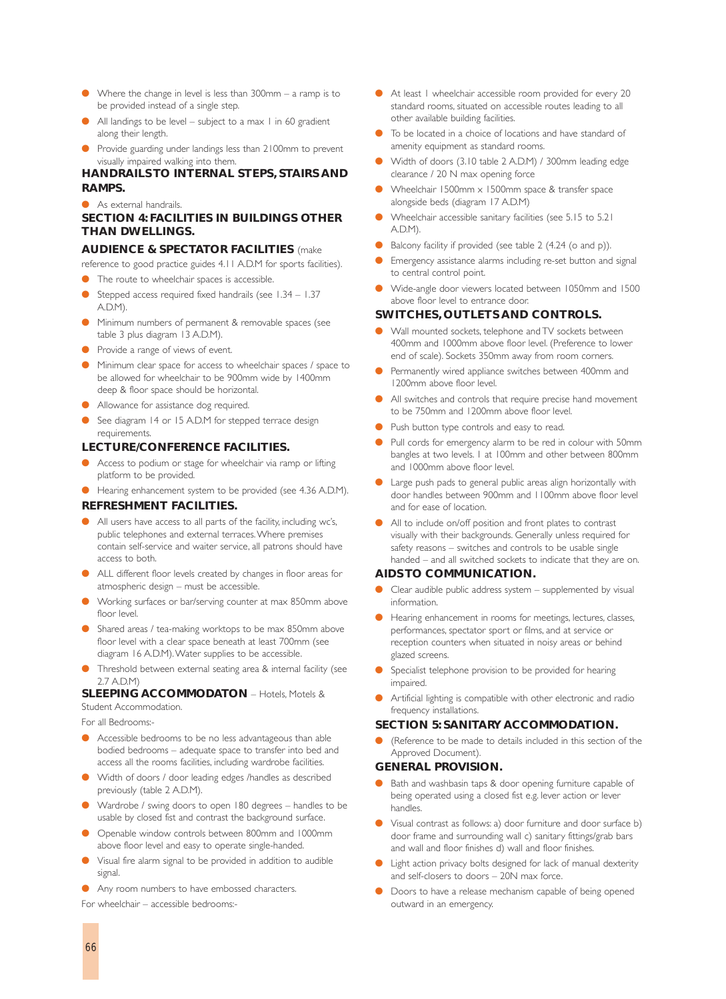- Where the change in level is less than  $300$ mm a ramp is to be provided instead of a single step.
- All landings to be level subject to a max 1 in 60 gradient along their length.
- Provide guarding under landings less than 2100mm to prevent visually impaired walking into them.

## **HANDRAILS TO INTERNAL STEPS, STAIRS AND RAMPS.**

● As external handrails.

### **SECTION 4: FACILITIES IN BUILDINGS OTHER THAN DWELLINGS.**

#### **AUDIENCE & SPECTATOR FACILITIES** (make

reference to good practice guides 4.11 A.D.M for sports facilities).

- The route to wheelchair spaces is accessible.
- Stepped access required fixed handrails (see 1.34 1.37 A.D.M).
- Minimum numbers of permanent & removable spaces (see table 3 plus diagram 13 A.D.M).
- Provide a range of views of event.
- Minimum clear space for access to wheelchair spaces / space to be allowed for wheelchair to be 900mm wide by 1400mm deep & floor space should be horizontal.
- Allowance for assistance dog required.
- See diagram 14 or 15 A.D.M for stepped terrace design requirements.

#### **LECTURE/CONFERENCE FACILITIES.**

- Access to podium or stage for wheelchair via ramp or lifting platform to be provided.
- Hearing enhancement system to be provided (see 4.36 A.D.M).

#### **REFRESHMENT FACILITIES.**

- All users have access to all parts of the facility, including wc's, public telephones and external terraces.Where premises contain self-service and waiter service, all patrons should have access to both.
- ALL different floor levels created by changes in floor areas for atmospheric design – must be accessible.
- Working surfaces or bar/serving counter at max 850mm above floor level.
- Shared areas / tea-making worktops to be max 850mm above floor level with a clear space beneath at least 700mm (see diagram 16 A.D.M).Water supplies to be accessible.
- Threshold between external seating area & internal facility (see 2.7 A.D.M)

#### **SLEEPING ACCOMMODATON** – Hotels, Motels & Student Accommodation.

For all Bedrooms:-

- Accessible bedrooms to be no less advantageous than able bodied bedrooms – adequate space to transfer into bed and access all the rooms facilities, including wardrobe facilities.
- Width of doors / door leading edges /handles as described previously (table 2 A.D.M).
- Wardrobe / swing doors to open 180 degrees handles to be usable by closed fist and contrast the background surface.
- Openable window controls between 800mm and 1000mm above floor level and easy to operate single-handed.
- Visual fire alarm signal to be provided in addition to audible signal.
- Any room numbers to have embossed characters.

For wheelchair – accessible bedrooms:-

- At least | wheelchair accessible room provided for every 20 standard rooms, situated on accessible routes leading to all other available building facilities.
- To be located in a choice of locations and have standard of amenity equipment as standard rooms.
- Width of doors (3.10 table 2 A.D.M) / 300mm leading edge clearance / 20 N max opening force
- Wheelchair 1500mm  $\times$  1500mm space & transfer space alongside beds (diagram 17 A.D.M)
- Wheelchair accessible sanitary facilities (see 5.15 to 5.21 A.D.M).
- Balcony facility if provided (see table 2 (4.24 (o and p)).
- Emergency assistance alarms including re-set button and signal to central control point.
- Wide-angle door viewers located between 1050mm and 1500 above floor level to entrance door.

#### **SWITCHES, OUTLETS AND CONTROLS.**

- Wall mounted sockets, telephone and TV sockets between 400mm and 1000mm above floor level. (Preference to lower end of scale). Sockets 350mm away from room corners.
- Permanently wired appliance switches between 400mm and 1200mm above floor level.
- All switches and controls that require precise hand movement to be 750mm and 1200mm above floor level.
- Push button type controls and easy to read.
- Pull cords for emergency alarm to be red in colour with 50mm bangles at two levels. 1 at 100mm and other between 800mm and 1000mm above floor level.
- Large push pads to general public areas align horizontally with door handles between 900mm and 1100mm above floor level and for ease of location.
- All to include on/off position and front plates to contrast visually with their backgrounds. Generally unless required for safety reasons – switches and controls to be usable single handed – and all switched sockets to indicate that they are on.

#### **AIDS TO COMMUNICATION.**

- Clear audible public address system  $-$  supplemented by visual information.
- Hearing enhancement in rooms for meetings, lectures, classes, performances, spectator sport or films, and at service or reception counters when situated in noisy areas or behind glazed screens.
- Specialist telephone provision to be provided for hearing impaired.
- Artificial lighting is compatible with other electronic and radio frequency installations.

#### **SECTION 5: SANITARY ACCOMMODATION.**

(Reference to be made to details included in this section of the Approved Document).

#### **GENERAL PROVISION.**

- Bath and washbasin taps & door opening furniture capable of being operated using a closed fist e.g. lever action or lever handles.
- Visual contrast as follows: a) door furniture and door surface b) door frame and surrounding wall c) sanitary fittings/grab bars and wall and floor finishes d) wall and floor finishes.
- Light action privacy bolts designed for lack of manual dexterity and self-closers to doors – 20N max force.
- Doors to have a release mechanism capable of being opened outward in an emergency.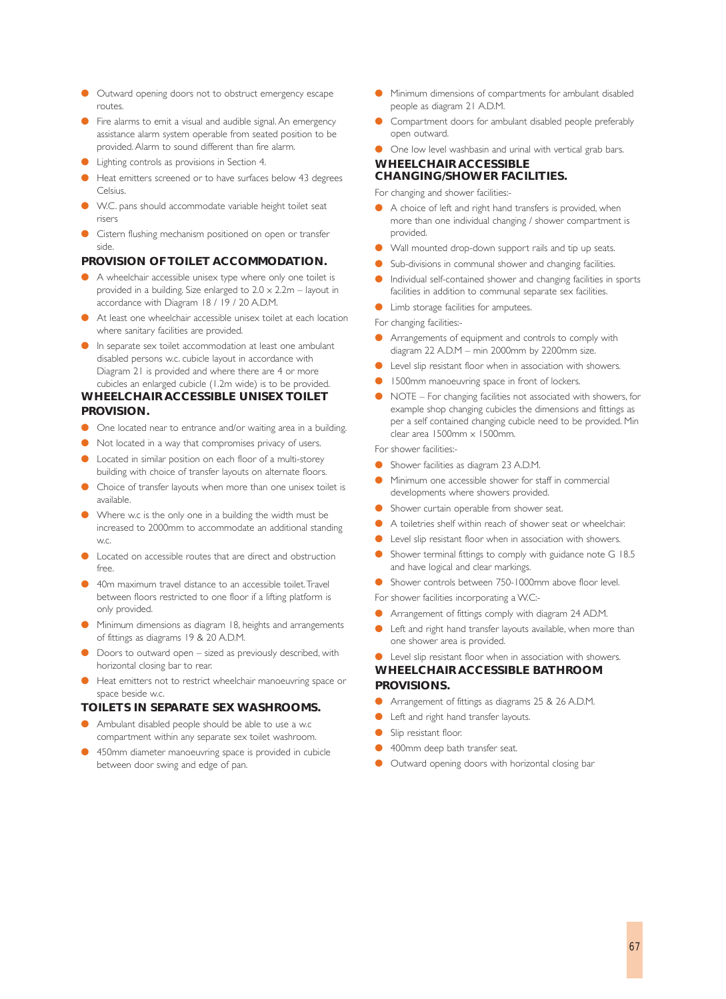- Outward opening doors not to obstruct emergency escape routes.
- Fire alarms to emit a visual and audible signal. An emergency assistance alarm system operable from seated position to be provided. Alarm to sound different than fire alarm.
- Lighting controls as provisions in Section 4.
- Heat emitters screened or to have surfaces below 43 degrees Celsius.
- W.C. pans should accommodate variable height toilet seat risers
- Cistern flushing mechanism positioned on open or transfer side.

## **PROVISION OF TOILET ACCOMMODATION.**

- A wheelchair accessible unisex type where only one toilet is provided in a building. Size enlarged to  $2.0 \times 2.2$ m – layout in accordance with Diagram 18 / 19 / 20 A.D.M.
- At least one wheelchair accessible unisex toilet at each location where sanitary facilities are provided.
- In separate sex toilet accommodation at least one ambulant disabled persons w.c. cubicle layout in accordance with Diagram 21 is provided and where there are 4 or more cubicles an enlarged cubicle (1.2m wide) is to be provided.

## **WHEELCHAIR ACCESSIBLE UNISEX TOILET PROVISION.**

- One located near to entrance and/or waiting area in a building.
- Not located in a way that compromises privacy of users.
- Located in similar position on each floor of a multi-storey building with choice of transfer layouts on alternate floors.
- Choice of transfer layouts when more than one unisex toilet is available.
- Where w.c is the only one in a building the width must be increased to 2000mm to accommodate an additional standing w.c.
- Located on accessible routes that are direct and obstruction free.
- 40m maximum travel distance to an accessible toilet. Travel between floors restricted to one floor if a lifting platform is only provided.
- Minimum dimensions as diagram 18, heights and arrangements of fittings as diagrams 19 & 20 A.D.M.
- Doors to outward open sized as previously described, with horizontal closing bar to rear.
- Heat emitters not to restrict wheelchair manoeuvring space or space beside w.c.

#### **TOILETS IN SEPARATE SEX WASHROOMS.**

- Ambulant disabled people should be able to use a w.c compartment within any separate sex toilet washroom.
- 450mm diameter manoeuvring space is provided in cubicle between door swing and edge of pan.
- Minimum dimensions of compartments for ambulant disabled people as diagram 21 A.D.M.
- Compartment doors for ambulant disabled people preferably open outward.
- One low level washbasin and urinal with vertical grab bars.

### **WHEELCHAIR ACCESSIBLE CHANGING/SHOWER FACILITIES.**

For changing and shower facilities:-

- A choice of left and right hand transfers is provided, when more than one individual changing / shower compartment is provided.
- Wall mounted drop-down support rails and tip up seats.
- Sub-divisions in communal shower and changing facilities.
- Individual self-contained shower and changing facilities in sports facilities in addition to communal separate sex facilities.
- Limb storage facilities for amputees.

For changing facilities:-

- Arrangements of equipment and controls to comply with diagram 22 A.D.M – min 2000mm by 2200mm size.
- Level slip resistant floor when in association with showers.
- 1500mm manoeuvring space in front of lockers.
- NOTE For changing facilities not associated with showers, for example shop changing cubicles the dimensions and fittings as per a self contained changing cubicle need to be provided. Min clear area 1500mm x 1500mm.

For shower facilities:-

- Shower facilities as diagram 23 A.D.M.
- Minimum one accessible shower for staff in commercial developments where showers provided.
- Shower curtain operable from shower seat.
- A toiletries shelf within reach of shower seat or wheelchair.
- Level slip resistant floor when in association with showers.
- Shower terminal fittings to comply with guidance note G 18.5 and have logical and clear markings.
- Shower controls between 750-1000mm above floor level.
- For shower facilities incorporating a W.C:-
- Arrangement of fittings comply with diagram 24 AD.M.
- Left and right hand transfer layouts available, when more than one shower area is provided.
- Level slip resistant floor when in association with showers.

## **WHEELCHAIR ACCESSIBLE BATHROOM PROVISIONS.**

- Arrangement of fittings as diagrams 25 & 26 A.D.M.
- Left and right hand transfer layouts.
- Slip resistant floor.
- 400mm deep bath transfer seat.
- Outward opening doors with horizontal closing bar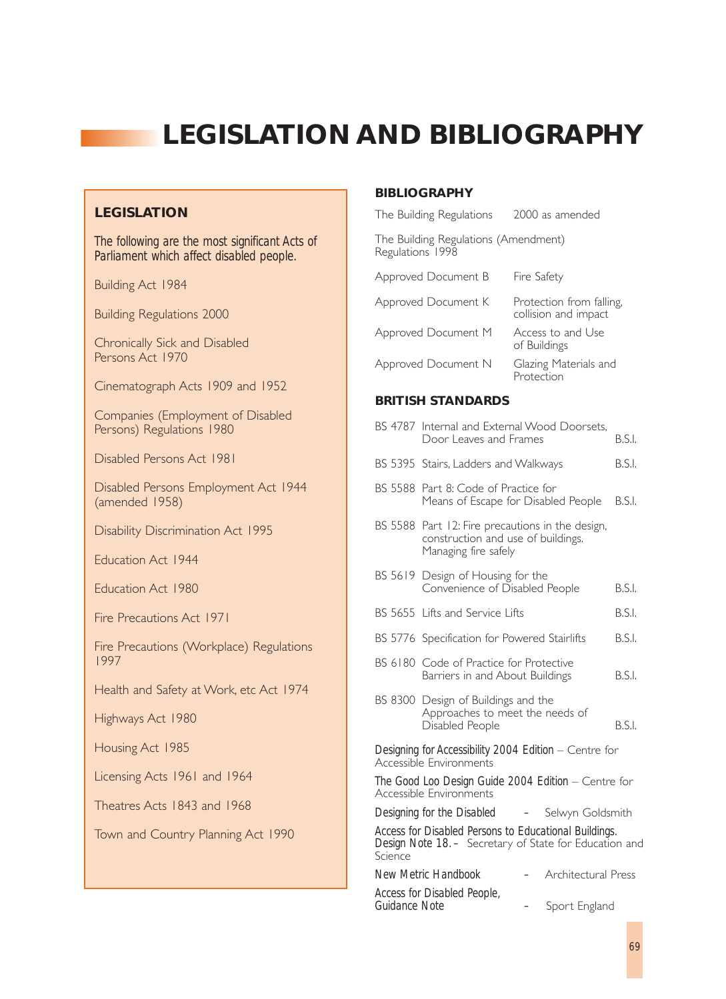# **LEGISLATION AND BIBLIOGRAPHY**

## **LEGISLATION**

*The following are the most significant Acts of Parliament which affect disabled people.*

Building Act 1984

Building Regulations 2000

Chronically Sick and Disabled Persons Act 1970

Cinematograph Acts 1909 and 1952

Companies (Employment of Disabled Persons) Regulations 1980

Disabled Persons Act 1981

Disabled Persons Employment Act 1944 (amended 1958)

Disability Discrimination Act 1995

Education Act 1944

Education Act 1980

Fire Precautions Act 1971

Fire Precautions (Workplace) Regulations 1997

Health and Safety at Work, etc Act 1974

Highways Act 1980

Housing Act 1985

Licensing Acts 1961 and 1964

Theatres Acts 1843 and 1968

Town and Country Planning Act 1990

## **BIBLIOGRAPHY**

| The Building Regulations                                 | 2000 as amended                                  |  |  |  |
|----------------------------------------------------------|--------------------------------------------------|--|--|--|
| The Building Regulations (Amendment)<br>Regulations 1998 |                                                  |  |  |  |
| Approved Document B                                      | Fire Safety                                      |  |  |  |
| Approved Document K                                      | Protection from falling,<br>collision and impact |  |  |  |
| Approved Document M                                      | Access to and Use<br>of Buildings                |  |  |  |
| Approved Document N                                      | Glazing Materials and<br>Protection              |  |  |  |

### **BRITISH STANDARDS**

|                                                                                                                            | BS 4787 Internal and External Wood Doorsets,<br>Door Leaves and Frames                                         | B.S.I. |  |
|----------------------------------------------------------------------------------------------------------------------------|----------------------------------------------------------------------------------------------------------------|--------|--|
|                                                                                                                            | BS 5395 Stairs, Ladders and Walkways                                                                           | B.S.I. |  |
|                                                                                                                            | BS 5588 Part 8: Code of Practice for<br>Means of Escape for Disabled People                                    |        |  |
|                                                                                                                            | BS 5588 Part 12: Fire precautions in the design,<br>construction and use of buildings.<br>Managing fire safely |        |  |
|                                                                                                                            | BS 5619 Design of Housing for the<br>Convenience of Disabled People                                            | B.S.I. |  |
|                                                                                                                            | BS 5655 Lifts and Service Lifts                                                                                | B.S.I. |  |
|                                                                                                                            | BS 5776 Specification for Powered Stairlifts                                                                   | B.S.I. |  |
|                                                                                                                            | BS 6180 Code of Practice for Protective<br>Barriers in and About Buildings                                     | B.S.I. |  |
|                                                                                                                            | BS 8300 Design of Buildings and the<br>Approaches to meet the needs of<br>Disabled People                      | B.S.I. |  |
|                                                                                                                            | Designing for Accessibility 2004 Edition - Centre for<br>Accessible Environments                               |        |  |
|                                                                                                                            | The Good Loo Design Guide 2004 Edition - Centre for<br>Accessible Environments                                 |        |  |
|                                                                                                                            | Designing for the Disabled<br>- Selwyn Goldsmith                                                               |        |  |
| Access for Disabled Persons to Educational Buildings.<br>Design Note 18. - Secretary of State for Education and<br>Science |                                                                                                                |        |  |

| New Metric Handbook | Architectural Press |
|---------------------|---------------------|
|                     |                     |

*Access for Disabled People, Guidance Note –* Sport England